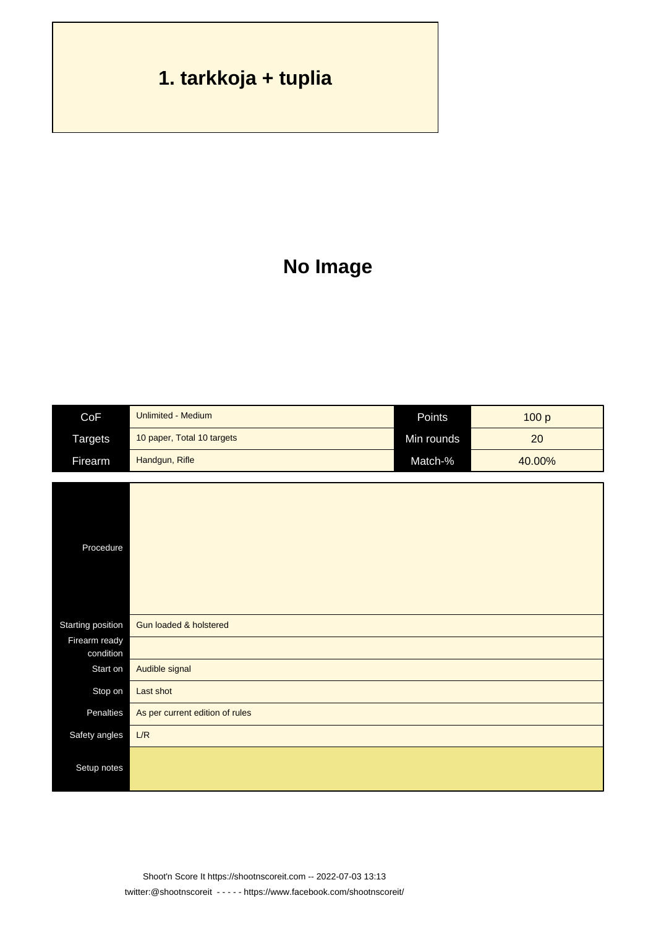# **1. tarkkoja + tuplia**

### **No Image**

| CoF               | <b>Unlimited - Medium</b>       | Points     | 100 p  |
|-------------------|---------------------------------|------------|--------|
| <b>Targets</b>    | 10 paper, Total 10 targets      | Min rounds | 20     |
| Firearm           | Handgun, Rifle                  | Match-%    | 40.00% |
|                   |                                 |            |        |
| Procedure         |                                 |            |        |
| Starting position | Gun loaded & holstered          |            |        |
| Firearm ready     |                                 |            |        |
| condition         |                                 |            |        |
| Start on          | Audible signal                  |            |        |
| Stop on           | Last shot                       |            |        |
| Penalties         | As per current edition of rules |            |        |
| Safety angles     | L/R                             |            |        |
| Setup notes       |                                 |            |        |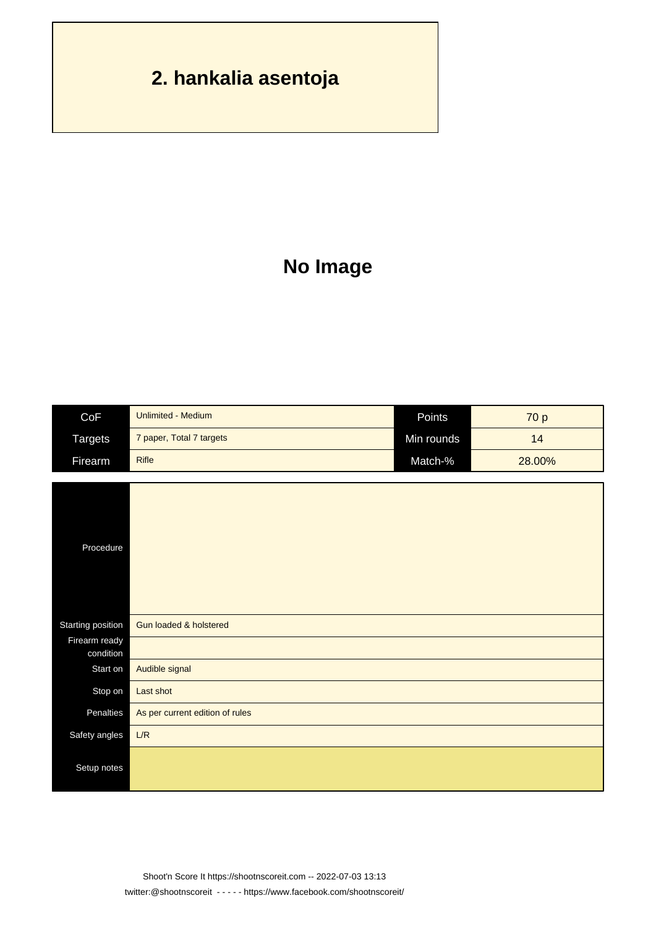# **2. hankalia asentoja**

### **No Image**

| CoF                      | <b>Unlimited - Medium</b>         | Points     | 70 p   |
|--------------------------|-----------------------------------|------------|--------|
| <b>Targets</b>           | 7 paper, Total 7 targets          | Min rounds | 14     |
| Firearm                  | <b>Rifle</b>                      | Match-%    | 28.00% |
|                          |                                   |            |        |
| Procedure                |                                   |            |        |
| <b>Starting position</b> | <b>Gun loaded &amp; holstered</b> |            |        |
| Firearm ready            |                                   |            |        |
| condition<br>Start on    |                                   |            |        |
|                          | Audible signal                    |            |        |
| Stop on                  | Last shot                         |            |        |
| Penalties                | As per current edition of rules   |            |        |
| Safety angles            | L/R                               |            |        |
| Setup notes              |                                   |            |        |